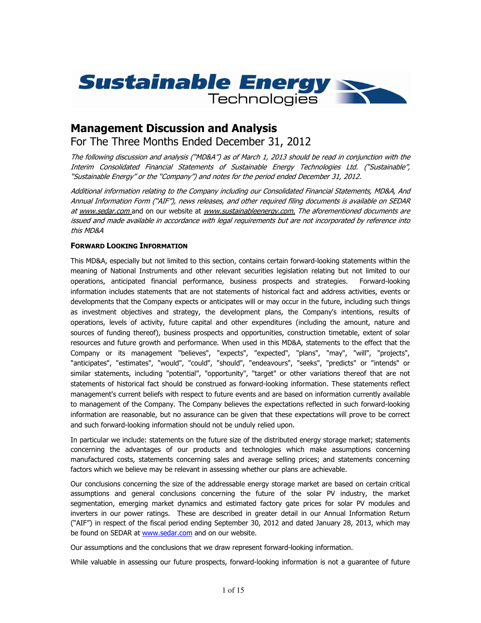

# Management Discussion and Analysis For The Three Months Ended December 31, 2012

The following discussion and analysis ("MD&A") as of March 1, 2013 should be read in conjunction with the Interim Consolidated Financial Statements of Sustainable Energy Technologies Ltd. ("Sustainable", "Sustainable Energy" or the "Company") and notes for the period ended December 31, 2012.

Additional information relating to the Company including our Consolidated Financial Statements, MD&A, And Annual Information Form ("AIF"), news releases, and other required filing documents is available on SEDAR at www.sedar.com and on our website at www.sustainableenergy.com. The aforementioned documents are issued and made available in accordance with legal requirements but are not incorporated by reference into this MD&A

# FORWARD LOOKING INFORMATION

This MD&A, especially but not limited to this section, contains certain forward-looking statements within the meaning of National Instruments and other relevant securities legislation relating but not limited to our operations, anticipated financial performance, business prospects and strategies. Forward-looking information includes statements that are not statements of historical fact and address activities, events or developments that the Company expects or anticipates will or may occur in the future, including such things as investment objectives and strategy, the development plans, the Company's intentions, results of operations, levels of activity, future capital and other expenditures (including the amount, nature and sources of funding thereof), business prospects and opportunities, construction timetable, extent of solar resources and future growth and performance. When used in this MD&A, statements to the effect that the Company or its management "believes", "expects", "expected", "plans", "may", "will", "projects", "anticipates", "estimates", "would", "could", "should", "endeavours", "seeks", "predicts" or "intends" or similar statements, including "potential", "opportunity", "target" or other variations thereof that are not statements of historical fact should be construed as forward-looking information. These statements reflect management's current beliefs with respect to future events and are based on information currently available to management of the Company. The Company believes the expectations reflected in such forward-looking information are reasonable, but no assurance can be given that these expectations will prove to be correct and such forward-looking information should not be unduly relied upon.

In particular we include: statements on the future size of the distributed energy storage market; statements concerning the advantages of our products and technologies which make assumptions concerning manufactured costs, statements concerning sales and average selling prices; and statements concerning factors which we believe may be relevant in assessing whether our plans are achievable.

Our conclusions concerning the size of the addressable energy storage market are based on certain critical assumptions and general conclusions concerning the future of the solar PV industry, the market segmentation, emerging market dynamics and estimated factory gate prices for solar PV modules and inverters in our power ratings. These are described in greater detail in our Annual Information Return ("AIF") in respect of the fiscal period ending September 30, 2012 and dated January 28, 2013, which may be found on SEDAR at www.sedar.com and on our website.

Our assumptions and the conclusions that we draw represent forward-looking information.

While valuable in assessing our future prospects, forward-looking information is not a guarantee of future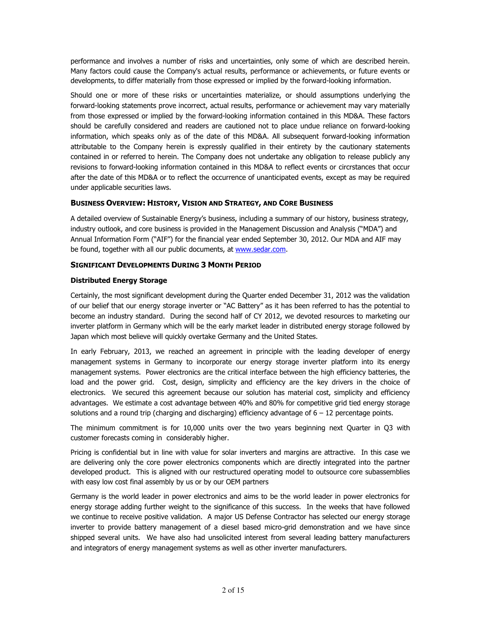performance and involves a number of risks and uncertainties, only some of which are described herein. Many factors could cause the Company's actual results, performance or achievements, or future events or developments, to differ materially from those expressed or implied by the forward-looking information.

Should one or more of these risks or uncertainties materialize, or should assumptions underlying the forward-looking statements prove incorrect, actual results, performance or achievement may vary materially from those expressed or implied by the forward-looking information contained in this MD&A. These factors should be carefully considered and readers are cautioned not to place undue reliance on forward-looking information, which speaks only as of the date of this MD&A. All subsequent forward-looking information attributable to the Company herein is expressly qualified in their entirety by the cautionary statements contained in or referred to herein. The Company does not undertake any obligation to release publicly any revisions to forward-looking information contained in this MD&A to reflect events or circrstances that occur after the date of this MD&A or to reflect the occurrence of unanticipated events, except as may be required under applicable securities laws.

# BUSINESS OVERVIEW: HISTORY, VISION AND STRATEGY, AND CORE BUSINESS

A detailed overview of Sustainable Energy's business, including a summary of our history, business strategy, industry outlook, and core business is provided in the Management Discussion and Analysis ("MDA") and Annual Information Form ("AIF") for the financial year ended September 30, 2012. Our MDA and AIF may be found, together with all our public documents, at www.sedar.com.

# SIGNIFICANT DEVELOPMENTS DURING 3 MONTH PERIOD

# Distributed Energy Storage

Certainly, the most significant development during the Quarter ended December 31, 2012 was the validation of our belief that our energy storage inverter or "AC Battery" as it has been referred to has the potential to become an industry standard. During the second half of CY 2012, we devoted resources to marketing our inverter platform in Germany which will be the early market leader in distributed energy storage followed by Japan which most believe will quickly overtake Germany and the United States.

In early February, 2013, we reached an agreement in principle with the leading developer of energy management systems in Germany to incorporate our energy storage inverter platform into its energy management systems. Power electronics are the critical interface between the high efficiency batteries, the load and the power grid. Cost, design, simplicity and efficiency are the key drivers in the choice of electronics. We secured this agreement because our solution has material cost, simplicity and efficiency advantages. We estimate a cost advantage between 40% and 80% for competitive grid tied energy storage solutions and a round trip (charging and discharging) efficiency advantage of  $6 - 12$  percentage points.

The minimum commitment is for 10,000 units over the two years beginning next Quarter in Q3 with customer forecasts coming in considerably higher.

Pricing is confidential but in line with value for solar inverters and margins are attractive. In this case we are delivering only the core power electronics components which are directly integrated into the partner developed product. This is aligned with our restructured operating model to outsource core subassemblies with easy low cost final assembly by us or by our OEM partners

Germany is the world leader in power electronics and aims to be the world leader in power electronics for energy storage adding further weight to the significance of this success. In the weeks that have followed we continue to receive positive validation. A major US Defense Contractor has selected our energy storage inverter to provide battery management of a diesel based micro-grid demonstration and we have since shipped several units. We have also had unsolicited interest from several leading battery manufacturers and integrators of energy management systems as well as other inverter manufacturers.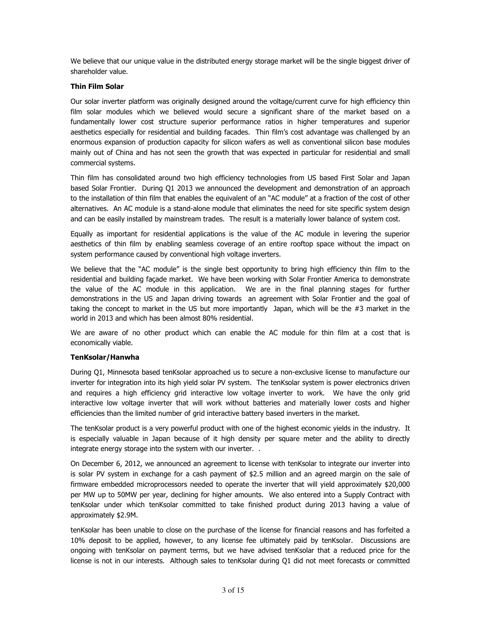We believe that our unique value in the distributed energy storage market will be the single biggest driver of shareholder value.

# Thin Film Solar

Our solar inverter platform was originally designed around the voltage/current curve for high efficiency thin film solar modules which we believed would secure a significant share of the market based on a fundamentally lower cost structure superior performance ratios in higher temperatures and superior aesthetics especially for residential and building facades. Thin film's cost advantage was challenged by an enormous expansion of production capacity for silicon wafers as well as conventional silicon base modules mainly out of China and has not seen the growth that was expected in particular for residential and small commercial systems.

Thin film has consolidated around two high efficiency technologies from US based First Solar and Japan based Solar Frontier. During Q1 2013 we announced the development and demonstration of an approach to the installation of thin film that enables the equivalent of an "AC module" at a fraction of the cost of other alternatives. An AC module is a stand-alone module that eliminates the need for site specific system design and can be easily installed by mainstream trades. The result is a materially lower balance of system cost.

Equally as important for residential applications is the value of the AC module in levering the superior aesthetics of thin film by enabling seamless coverage of an entire rooftop space without the impact on system performance caused by conventional high voltage inverters.

We believe that the "AC module" is the single best opportunity to bring high efficiency thin film to the residential and building façade market. We have been working with Solar Frontier America to demonstrate the value of the AC module in this application. We are in the final planning stages for further demonstrations in the US and Japan driving towards an agreement with Solar Frontier and the goal of taking the concept to market in the US but more importantly Japan, which will be the #3 market in the world in 2013 and which has been almost 80% residential.

We are aware of no other product which can enable the AC module for thin film at a cost that is economically viable.

# TenKsolar/Hanwha

During Q1, Minnesota based tenKsolar approached us to secure a non-exclusive license to manufacture our inverter for integration into its high yield solar PV system. The tenKsolar system is power electronics driven and requires a high efficiency grid interactive low voltage inverter to work. We have the only grid interactive low voltage inverter that will work without batteries and materially lower costs and higher efficiencies than the limited number of grid interactive battery based inverters in the market.

The tenKsolar product is a very powerful product with one of the highest economic yields in the industry. It is especially valuable in Japan because of it high density per square meter and the ability to directly integrate energy storage into the system with our inverter. .

On December 6, 2012, we announced an agreement to license with tenKsolar to integrate our inverter into is solar PV system in exchange for a cash payment of \$2.5 million and an agreed margin on the sale of firmware embedded microprocessors needed to operate the inverter that will yield approximately \$20,000 per MW up to 50MW per year, declining for higher amounts. We also entered into a Supply Contract with tenKsolar under which tenKsolar committed to take finished product during 2013 having a value of approximately \$2.9M.

tenKsolar has been unable to close on the purchase of the license for financial reasons and has forfeited a 10% deposit to be applied, however, to any license fee ultimately paid by tenKsolar. Discussions are ongoing with tenKsolar on payment terms, but we have advised tenKsolar that a reduced price for the license is not in our interests. Although sales to tenKsolar during Q1 did not meet forecasts or committed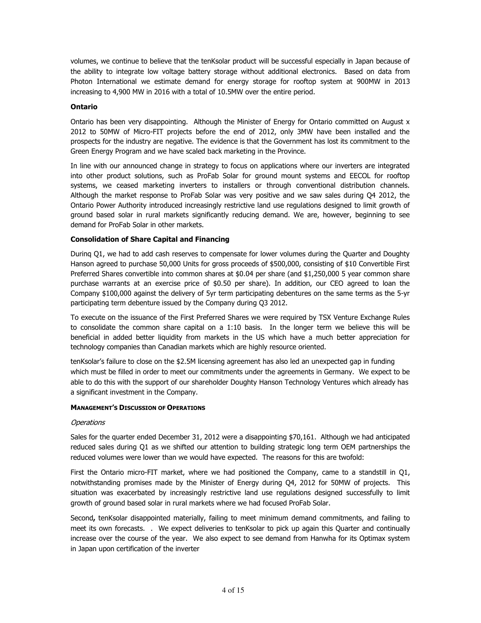volumes, we continue to believe that the tenKsolar product will be successful especially in Japan because of the ability to integrate low voltage battery storage without additional electronics. Based on data from Photon International we estimate demand for energy storage for rooftop system at 900MW in 2013 increasing to 4,900 MW in 2016 with a total of 10.5MW over the entire period.

### Ontario

Ontario has been very disappointing. Although the Minister of Energy for Ontario committed on August x 2012 to 50MW of Micro-FIT projects before the end of 2012, only 3MW have been installed and the prospects for the industry are negative. The evidence is that the Government has lost its commitment to the Green Energy Program and we have scaled back marketing in the Province.

In line with our announced change in strategy to focus on applications where our inverters are integrated into other product solutions, such as ProFab Solar for ground mount systems and EECOL for rooftop systems, we ceased marketing inverters to installers or through conventional distribution channels. Although the market response to ProFab Solar was very positive and we saw sales during Q4 2012, the Ontario Power Authority introduced increasingly restrictive land use regulations designed to limit growth of ground based solar in rural markets significantly reducing demand. We are, however, beginning to see demand for ProFab Solar in other markets.

#### Consolidation of Share Capital and Financing

Durinq Q1, we had to add cash reserves to compensate for lower volumes during the Quarter and Doughty Hanson agreed to purchase 50,000 Units for gross proceeds of \$500,000, consisting of \$10 Convertible First Preferred Shares convertible into common shares at \$0.04 per share (and \$1,250,000 5 year common share purchase warrants at an exercise price of \$0.50 per share). In addition, our CEO agreed to loan the Company \$100,000 against the delivery of 5yr term participating debentures on the same terms as the 5-yr participating term debenture issued by the Company during Q3 2012.

To execute on the issuance of the First Preferred Shares we were required by TSX Venture Exchange Rules to consolidate the common share capital on a 1:10 basis. In the longer term we believe this will be beneficial in added better liquidity from markets in the US which have a much better appreciation for technology companies than Canadian markets which are highly resource oriented.

tenKsolar's failure to close on the \$2.5M licensing agreement has also led an unexpected gap in funding which must be filled in order to meet our commitments under the agreements in Germany. We expect to be able to do this with the support of our shareholder Doughty Hanson Technology Ventures which already has a significant investment in the Company.

#### MANAGEMENT'S DISCUSSION OF OPERATIONS

#### **Operations**

Sales for the quarter ended December 31, 2012 were a disappointing \$70,161. Although we had anticipated reduced sales during Q1 as we shifted our attention to building strategic long term OEM partnerships the reduced volumes were lower than we would have expected. The reasons for this are twofold:

First the Ontario micro-FIT market, where we had positioned the Company, came to a standstill in Q1, notwithstanding promises made by the Minister of Energy during Q4, 2012 for 50MW of projects. This situation was exacerbated by increasingly restrictive land use regulations designed successfully to limit growth of ground based solar in rural markets where we had focused ProFab Solar.

Second, tenKsolar disappointed materially, failing to meet minimum demand commitments, and failing to meet its own forecasts. . We expect deliveries to tenKsolar to pick up again this Quarter and continually increase over the course of the year. We also expect to see demand from Hanwha for its Optimax system in Japan upon certification of the inverter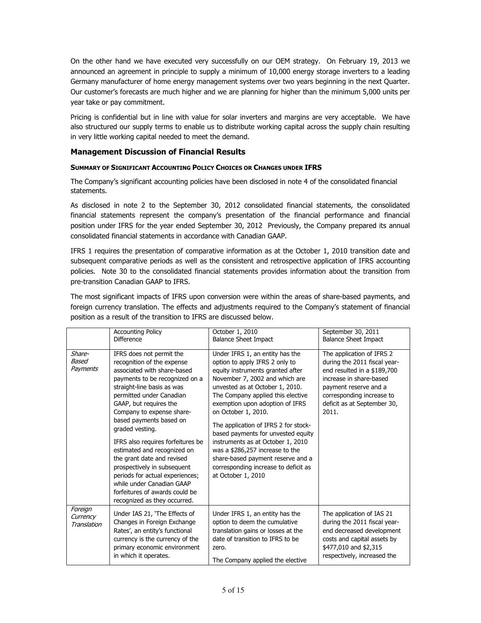On the other hand we have executed very successfully on our OEM strategy. On February 19, 2013 we announced an agreement in principle to supply a minimum of 10,000 energy storage inverters to a leading Germany manufacturer of home energy management systems over two years beginning in the next Quarter. Our customer's forecasts are much higher and we are planning for higher than the minimum 5,000 units per year take or pay commitment.

Pricing is confidential but in line with value for solar inverters and margins are very acceptable. We have also structured our supply terms to enable us to distribute working capital across the supply chain resulting in very little working capital needed to meet the demand.

# Management Discussion of Financial Results

# SUMMARY OF SIGNIFICANT ACCOUNTING POLICY CHOICES OR CHANGES UNDER IFRS

The Company's significant accounting policies have been disclosed in note 4 of the consolidated financial statements.

As disclosed in note 2 to the September 30, 2012 consolidated financial statements, the consolidated financial statements represent the company's presentation of the financial performance and financial position under IFRS for the year ended September 30, 2012 Previously, the Company prepared its annual consolidated financial statements in accordance with Canadian GAAP.

IFRS 1 requires the presentation of comparative information as at the October 1, 2010 transition date and subsequent comparative periods as well as the consistent and retrospective application of IFRS accounting policies. Note 30 to the consolidated financial statements provides information about the transition from pre-transition Canadian GAAP to IFRS.

The most significant impacts of IFRS upon conversion were within the areas of share-based payments, and foreign currency translation. The effects and adjustments required to the Company's statement of financial position as a result of the transition to IFRS are discussed below.

|                                    | <b>Accounting Policy</b><br><b>Difference</b>                                                                                                                                                                                                                                                                                                                                                                                                                                                                                                             | October 1, 2010<br><b>Balance Sheet Impact</b>                                                                                                                                                                                                                                                                                                                                                                                                                                                                                     | September 30, 2011<br><b>Balance Sheet Impact</b>                                                                                                                                                                 |
|------------------------------------|-----------------------------------------------------------------------------------------------------------------------------------------------------------------------------------------------------------------------------------------------------------------------------------------------------------------------------------------------------------------------------------------------------------------------------------------------------------------------------------------------------------------------------------------------------------|------------------------------------------------------------------------------------------------------------------------------------------------------------------------------------------------------------------------------------------------------------------------------------------------------------------------------------------------------------------------------------------------------------------------------------------------------------------------------------------------------------------------------------|-------------------------------------------------------------------------------------------------------------------------------------------------------------------------------------------------------------------|
| Share-<br>Based<br>Payments        | IFRS does not permit the<br>recognition of the expense<br>associated with share-based<br>payments to be recognized on a<br>straight-line basis as was<br>permitted under Canadian<br>GAAP, but requires the<br>Company to expense share-<br>based payments based on<br>graded vesting.<br>IFRS also requires forfeitures be<br>estimated and recognized on<br>the grant date and revised<br>prospectively in subsequent<br>periods for actual experiences;<br>while under Canadian GAAP<br>forfeitures of awards could be<br>recognized as they occurred. | Under IFRS 1, an entity has the<br>option to apply IFRS 2 only to<br>equity instruments granted after<br>November 7, 2002 and which are<br>unvested as at October 1, 2010.<br>The Company applied this elective<br>exemption upon adoption of IFRS<br>on October 1, 2010.<br>The application of IFRS 2 for stock-<br>based payments for unvested equity<br>instruments as at October 1, 2010<br>was a \$286,257 increase to the<br>share-based payment reserve and a<br>corresponding increase to deficit as<br>at October 1, 2010 | The application of IFRS 2<br>during the 2011 fiscal year-<br>end resulted in a \$189,700<br>increase in share-based<br>payment reserve and a<br>corresponding increase to<br>deficit as at September 30,<br>2011. |
| Foreign<br>Currency<br>Translation | Under IAS 21, 'The Effects of<br>Changes in Foreign Exchange<br>Rates', an entity's functional<br>currency is the currency of the<br>primary economic environment<br>in which it operates.                                                                                                                                                                                                                                                                                                                                                                | Under IFRS 1, an entity has the<br>option to deem the cumulative<br>translation gains or losses at the<br>date of transition to IFRS to be<br>zero.<br>The Company applied the elective                                                                                                                                                                                                                                                                                                                                            | The application of IAS 21<br>during the 2011 fiscal year-<br>end decreased development<br>costs and capital assets by<br>\$477,010 and \$2,315<br>respectively, increased the                                     |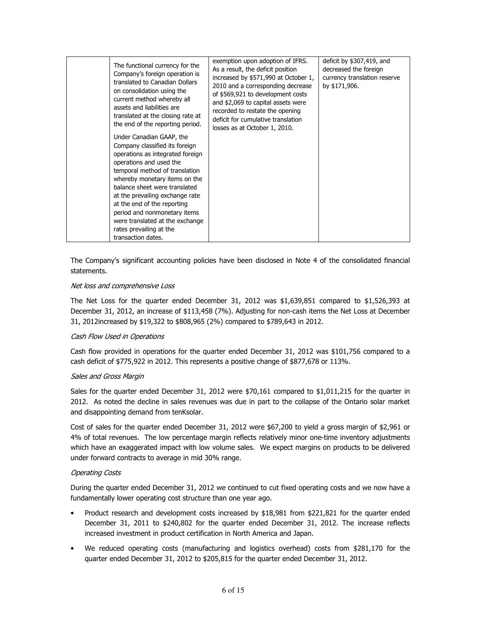| The functional currency for the<br>Company's foreign operation is<br>translated to Canadian Dollars<br>on consolidation using the<br>current method whereby all<br>assets and liabilities are<br>translated at the closing rate at<br>the end of the reporting period.                                                                                                                                              | exemption upon adoption of IFRS.<br>As a result, the deficit position<br>increased by \$571,990 at October 1,<br>2010 and a corresponding decrease<br>of \$569,921 to development costs<br>and \$2,069 to capital assets were<br>recorded to restate the opening<br>deficit for cumulative translation<br>losses as at October 1, 2010. | deficit by \$307,419, and<br>decreased the foreign<br>currency translation reserve<br>by \$171,906. |
|---------------------------------------------------------------------------------------------------------------------------------------------------------------------------------------------------------------------------------------------------------------------------------------------------------------------------------------------------------------------------------------------------------------------|-----------------------------------------------------------------------------------------------------------------------------------------------------------------------------------------------------------------------------------------------------------------------------------------------------------------------------------------|-----------------------------------------------------------------------------------------------------|
| Under Canadian GAAP, the<br>Company classified its foreign<br>operations as integrated foreign<br>operations and used the<br>temporal method of translation<br>whereby monetary items on the<br>balance sheet were translated<br>at the prevailing exchange rate<br>at the end of the reporting<br>period and nonmonetary items<br>were translated at the exchange<br>rates prevailing at the<br>transaction dates. |                                                                                                                                                                                                                                                                                                                                         |                                                                                                     |

The Company's significant accounting policies have been disclosed in Note 4 of the consolidated financial statements.

# Net loss and comprehensive Loss

The Net Loss for the quarter ended December 31, 2012 was \$1,639,851 compared to \$1,526,393 at December 31, 2012, an increase of \$113,458 (7%). Adjusting for non-cash items the Net Loss at December 31, 2012increased by \$19,322 to \$808,965 (2%) compared to \$789,643 in 2012.

# Cash Flow Used in Operations

Cash flow provided in operations for the quarter ended December 31, 2012 was \$101,756 compared to a cash deficit of \$775,922 in 2012. This represents a positive change of \$877,678 or 113%.

#### Sales and Gross Margin

Sales for the quarter ended December 31, 2012 were \$70,161 compared to \$1,011,215 for the quarter in 2012. As noted the decline in sales revenues was due in part to the collapse of the Ontario solar market and disappointing demand from tenKsolar.

Cost of sales for the quarter ended December 31, 2012 were \$67,200 to yield a gross margin of \$2,961 or 4% of total revenues. The low percentage margin reflects relatively minor one-time inventory adjustments which have an exaggerated impact with low volume sales. We expect margins on products to be delivered under forward contracts to average in mid 30% range.

# Operating Costs

During the quarter ended December 31, 2012 we continued to cut fixed operating costs and we now have a fundamentally lower operating cost structure than one year ago.

- Product research and development costs increased by \$18,981 from \$221,821 for the quarter ended December 31, 2011 to \$240,802 for the quarter ended December 31, 2012. The increase reflects increased investment in product certification in North America and Japan.
- We reduced operating costs (manufacturing and logistics overhead) costs from \$281,170 for the quarter ended December 31, 2012 to \$205,815 for the quarter ended December 31, 2012.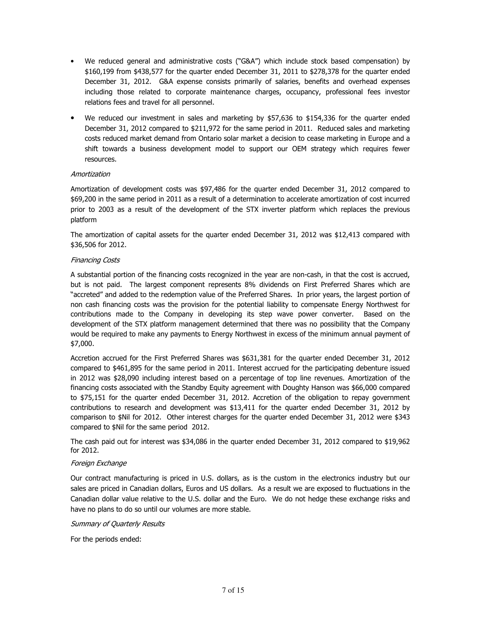- We reduced general and administrative costs ("G&A") which include stock based compensation) by \$160,199 from \$438,577 for the quarter ended December 31, 2011 to \$278,378 for the quarter ended December 31, 2012. G&A expense consists primarily of salaries, benefits and overhead expenses including those related to corporate maintenance charges, occupancy, professional fees investor relations fees and travel for all personnel.
- We reduced our investment in sales and marketing by \$57,636 to \$154,336 for the quarter ended December 31, 2012 compared to \$211,972 for the same period in 2011. Reduced sales and marketing costs reduced market demand from Ontario solar market a decision to cease marketing in Europe and a shift towards a business development model to support our OEM strategy which requires fewer resources.

# Amortization

Amortization of development costs was \$97,486 for the quarter ended December 31, 2012 compared to \$69,200 in the same period in 2011 as a result of a determination to accelerate amortization of cost incurred prior to 2003 as a result of the development of the STX inverter platform which replaces the previous platform

The amortization of capital assets for the quarter ended December 31, 2012 was \$12,413 compared with \$36,506 for 2012.

#### Financing Costs

A substantial portion of the financing costs recognized in the year are non-cash, in that the cost is accrued, but is not paid. The largest component represents 8% dividends on First Preferred Shares which are "accreted" and added to the redemption value of the Preferred Shares. In prior years, the largest portion of non cash financing costs was the provision for the potential liability to compensate Energy Northwest for contributions made to the Company in developing its step wave power converter. Based on the development of the STX platform management determined that there was no possibility that the Company would be required to make any payments to Energy Northwest in excess of the minimum annual payment of \$7,000.

Accretion accrued for the First Preferred Shares was \$631,381 for the quarter ended December 31, 2012 compared to \$461,895 for the same period in 2011. Interest accrued for the participating debenture issued in 2012 was \$28,090 including interest based on a percentage of top line revenues. Amortization of the financing costs associated with the Standby Equity agreement with Doughty Hanson was \$66,000 compared to \$75,151 for the quarter ended December 31, 2012. Accretion of the obligation to repay government contributions to research and development was \$13,411 for the quarter ended December 31, 2012 by comparison to \$Nil for 2012. Other interest charges for the quarter ended December 31, 2012 were \$343 compared to \$Nil for the same period 2012.

The cash paid out for interest was \$34,086 in the quarter ended December 31, 2012 compared to \$19,962 for 2012.

# Foreign Exchange

Our contract manufacturing is priced in U.S. dollars, as is the custom in the electronics industry but our sales are priced in Canadian dollars, Euros and US dollars. As a result we are exposed to fluctuations in the Canadian dollar value relative to the U.S. dollar and the Euro. We do not hedge these exchange risks and have no plans to do so until our volumes are more stable.

#### Summary of Quarterly Results

For the periods ended: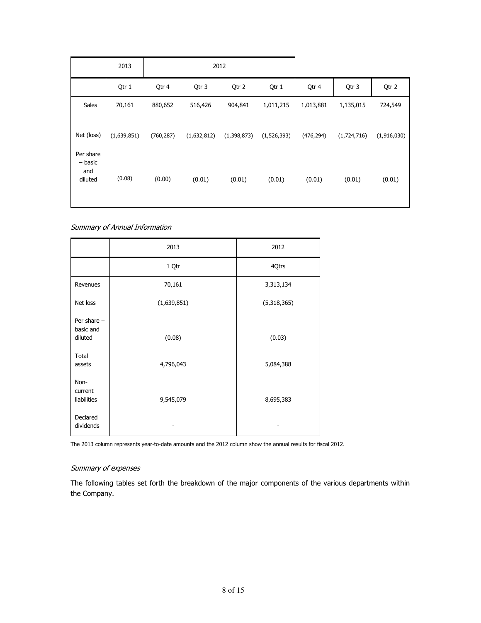|                                        | 2013        | 2012       |             |               |               |            |             |             |
|----------------------------------------|-------------|------------|-------------|---------------|---------------|------------|-------------|-------------|
|                                        | Qtr 1       | Qtr 4      | Qtr 3       | Qtr 2         | Qtr 1         | Qtr 4      | Qtr 3       | Qtr 2       |
| Sales                                  | 70,161      | 880,652    | 516,426     | 904,841       | 1,011,215     | 1,013,881  | 1,135,015   | 724,549     |
| Net (loss)                             | (1,639,851) | (760, 287) | (1,632,812) | (1, 398, 873) | (1, 526, 393) | (476, 294) | (1,724,716) | (1,916,030) |
| Per share<br>- basic<br>and<br>diluted | (0.08)      | (0.00)     | (0.01)      | (0.01)        | (0.01)        | (0.01)     | (0.01)      | (0.01)      |

Summary of Annual Information

|                                       | 2013        | 2012        |
|---------------------------------------|-------------|-------------|
|                                       | 1 Qtr       | 4Qtrs       |
| Revenues                              | 70,161      | 3,313,134   |
| Net loss                              | (1,639,851) | (5,318,365) |
| Per share $-$<br>basic and<br>diluted | (0.08)      | (0.03)      |
| Total<br>assets                       | 4,796,043   | 5,084,388   |
| Non-<br>current<br>liabilities        | 9,545,079   | 8,695,383   |
| Declared<br>dividends                 |             |             |

The 2013 column represents year-to-date amounts and the 2012 column show the annual results for fiscal 2012.

# Summary of expenses

The following tables set forth the breakdown of the major components of the various departments within the Company.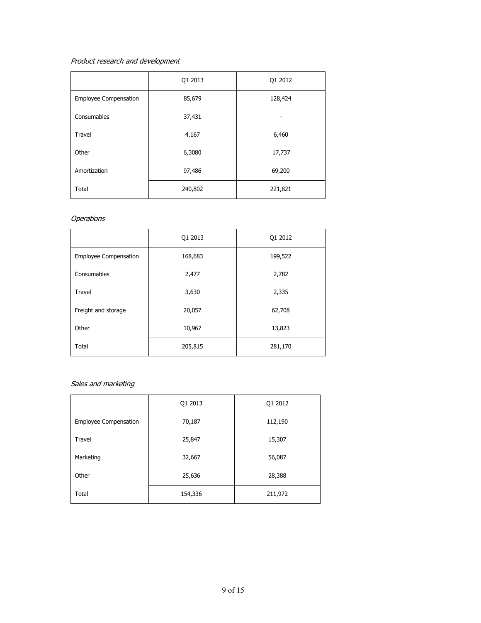# Product research and development

|                              | Q1 2013 | Q1 2012 |
|------------------------------|---------|---------|
| <b>Employee Compensation</b> | 85,679  | 128,424 |
| Consumables                  | 37,431  |         |
| <b>Travel</b>                | 4,167   | 6,460   |
| Other                        | 6,3080  | 17,737  |
| Amortization                 | 97,486  | 69,200  |
| Total                        | 240,802 | 221,821 |

# **Operations**

|                       | Q1 2013 | Q1 2012 |
|-----------------------|---------|---------|
| Employee Compensation | 168,683 | 199,522 |
| Consumables           | 2,477   | 2,782   |
| <b>Travel</b>         | 3,630   | 2,335   |
| Freight and storage   | 20,057  | 62,708  |
| Other                 | 10,967  | 13,823  |
| Total                 | 205,815 | 281,170 |

# Sales and marketing

|                       | Q1 2013 | Q1 2012 |
|-----------------------|---------|---------|
| Employee Compensation | 70,187  | 112,190 |
| Travel                | 25,847  | 15,307  |
| Marketing             | 32,667  | 56,087  |
| Other                 | 25,636  | 28,388  |
| Total                 | 154,336 | 211,972 |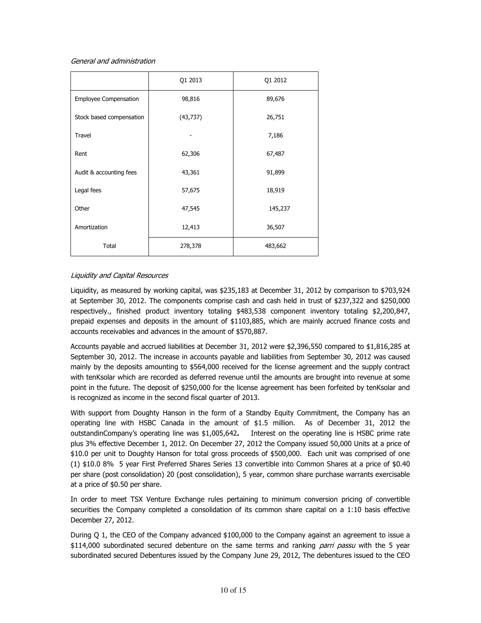#### General and administration

|                          | Q1 2013   | Q1 2012 |
|--------------------------|-----------|---------|
| Employee Compensation    | 98,816    | 89,676  |
| Stock based compensation | (43, 737) | 26,751  |
| <b>Travel</b>            |           | 7,186   |
| Rent                     | 62,306    | 67,487  |
| Audit & accounting fees  | 43,361    | 91,899  |
| Legal fees               | 57,675    | 18,919  |
| Other                    | 47,545    | 145,237 |
| Amortization             | 12,413    | 36,507  |
| Total                    | 278,378   | 483,662 |

# Liquidity and Capital Resources

Liquidity, as measured by working capital, was \$235,183 at December 31, 2012 by comparison to \$703,924 at September 30, 2012. The components comprise cash and cash held in trust of \$237,322 and \$250,000 respectively., finished product inventory totaling \$483,538 component inventory totaling \$2,200,847, prepaid expenses and deposits in the amount of \$1103,885, which are mainly accrued finance costs and accounts receivables and advances in the amount of \$570,887.

Accounts payable and accrued liabilities at December 31, 2012 were \$2,396,550 compared to \$1,816,285 at September 30, 2012. The increase in accounts payable and liabilities from September 30, 2012 was caused mainly by the deposits amounting to \$564,000 received for the license agreement and the supply contract with tenKsolar which are recorded as deferred revenue until the amounts are brought into revenue at some point in the future. The deposit of \$250,000 for the license agreement has been forfeited by tenKsolar and is recognized as income in the second fiscal quarter of 2013.

With support from Doughty Hanson in the form of a Standby Equity Commitment, the Company has an operating line with HSBC Canada in the amount of \$1.5 million. As of December 31, 2012 the outstandinCompany's operating line was \$1,005,642. Interest on the operating line is HSBC prime rate plus 3% effective December 1, 2012. On December 27, 2012 the Company issued 50,000 Units at a price of \$10.0 per unit to Doughty Hanson for total gross proceeds of \$500,000. Each unit was comprised of one (1) \$10.0 8% 5 year First Preferred Shares Series 13 convertible into Common Shares at a price of \$0.40 per share (post consolidation) 20 (post consolidation), 5 year, common share purchase warrants exercisable at a price of \$0.50 per share.

In order to meet TSX Venture Exchange rules pertaining to minimum conversion pricing of convertible securities the Company completed a consolidation of its common share capital on a 1:10 basis effective December 27, 2012.

During Q 1, the CEO of the Company advanced \$100,000 to the Company against an agreement to issue a \$114,000 subordinated secured debenture on the same terms and ranking *parri passu* with the 5 year subordinated secured Debentures issued by the Company June 29, 2012, The debentures issued to the CEO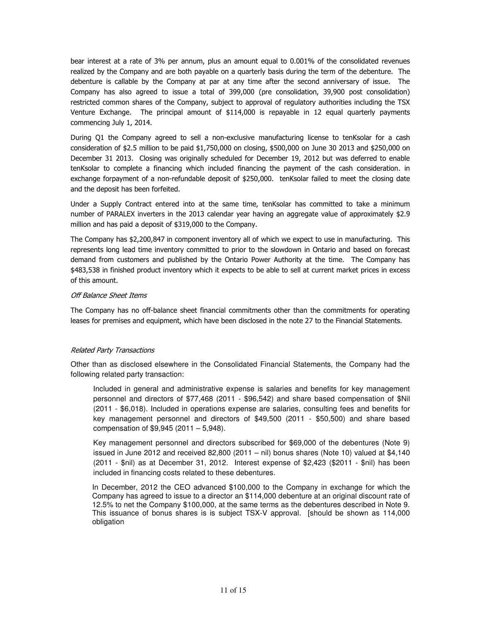bear interest at a rate of 3% per annum, plus an amount equal to 0.001% of the consolidated revenues realized by the Company and are both payable on a quarterly basis during the term of the debenture. The debenture is callable by the Company at par at any time after the second anniversary of issue. The Company has also agreed to issue a total of 399,000 (pre consolidation, 39,900 post consolidation) restricted common shares of the Company, subject to approval of regulatory authorities including the TSX Venture Exchange. The principal amount of \$114,000 is repayable in 12 equal quarterly payments commencing July 1, 2014.

During Q1 the Company agreed to sell a non-exclusive manufacturing license to tenKsolar for a cash consideration of \$2.5 million to be paid \$1,750,000 on closing, \$500,000 on June 30 2013 and \$250,000 on December 31 2013. Closing was originally scheduled for December 19, 2012 but was deferred to enable tenKsolar to complete a financing which included financing the payment of the cash consideration. in exchange forpayment of a non-refundable deposit of \$250,000. tenKsolar failed to meet the closing date and the deposit has been forfeited.

Under a Supply Contract entered into at the same time, tenKsolar has committed to take a minimum number of PARALEX inverters in the 2013 calendar year having an aggregate value of approximately \$2.9 million and has paid a deposit of \$319,000 to the Company.

The Company has \$2,200,847 in component inventory all of which we expect to use in manufacturing. This represents long lead time inventory committed to prior to the slowdown in Ontario and based on forecast demand from customers and published by the Ontario Power Authority at the time. The Company has \$483,538 in finished product inventory which it expects to be able to sell at current market prices in excess of this amount.

# Off Balance Sheet Items

The Company has no off-balance sheet financial commitments other than the commitments for operating leases for premises and equipment, which have been disclosed in the note 27 to the Financial Statements.

# Related Party Transactions

Other than as disclosed elsewhere in the Consolidated Financial Statements, the Company had the following related party transaction:

Included in general and administrative expense is salaries and benefits for key management personnel and directors of \$77,468 (2011 - \$96,542) and share based compensation of \$Nil (2011 - \$6,018). Included in operations expense are salaries, consulting fees and benefits for key management personnel and directors of \$49,500 (2011 - \$50,500) and share based compensation of \$9,945 (2011 – 5,948).

Key management personnel and directors subscribed for \$69,000 of the debentures (Note 9) issued in June 2012 and received 82,800 (2011 – nil) bonus shares (Note 10) valued at \$4,140 (2011 - \$nil) as at December 31, 2012. Interest expense of \$2,423 (\$2011 - \$nil) has been included in financing costs related to these debentures.

In December, 2012 the CEO advanced \$100,000 to the Company in exchange for which the Company has agreed to issue to a director an \$114,000 debenture at an original discount rate of 12.5% to net the Company \$100,000, at the same terms as the debentures described in Note 9. This issuance of bonus shares is is subject TSX-V approval. [should be shown as 114,000 obligation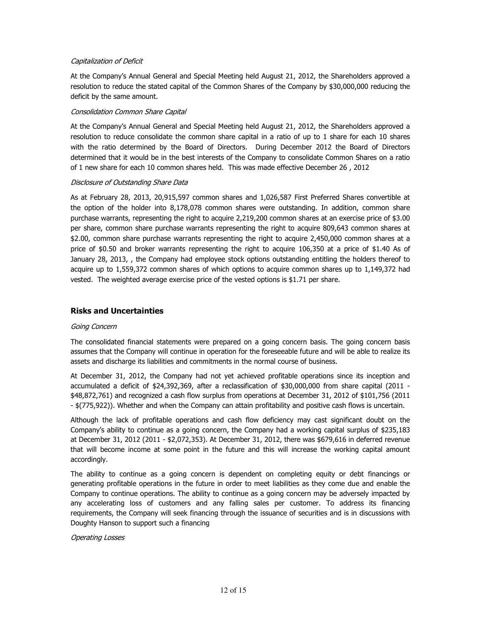### Capitalization of Deficit

At the Company's Annual General and Special Meeting held August 21, 2012, the Shareholders approved a resolution to reduce the stated capital of the Common Shares of the Company by \$30,000,000 reducing the deficit by the same amount.

#### Consolidation Common Share Capital

At the Company's Annual General and Special Meeting held August 21, 2012, the Shareholders approved a resolution to reduce consolidate the common share capital in a ratio of up to 1 share for each 10 shares with the ratio determined by the Board of Directors. During December 2012 the Board of Directors determined that it would be in the best interests of the Company to consolidate Common Shares on a ratio of 1 new share for each 10 common shares held. This was made effective December 26 , 2012

#### Disclosure of Outstanding Share Data

As at February 28, 2013, 20,915,597 common shares and 1,026,587 First Preferred Shares convertible at the option of the holder into 8,178,078 common shares were outstanding. In addition, common share purchase warrants, representing the right to acquire 2,219,200 common shares at an exercise price of \$3.00 per share, common share purchase warrants representing the right to acquire 809,643 common shares at \$2.00, common share purchase warrants representing the right to acquire 2,450,000 common shares at a price of \$0.50 and broker warrants representing the right to acquire 106,350 at a price of \$1.40 As of January 28, 2013, , the Company had employee stock options outstanding entitling the holders thereof to acquire up to 1,559,372 common shares of which options to acquire common shares up to 1,149,372 had vested. The weighted average exercise price of the vested options is \$1.71 per share.

# Risks and Uncertainties

# Going Concern

The consolidated financial statements were prepared on a going concern basis. The going concern basis assumes that the Company will continue in operation for the foreseeable future and will be able to realize its assets and discharge its liabilities and commitments in the normal course of business.

At December 31, 2012, the Company had not yet achieved profitable operations since its inception and accumulated a deficit of \$24,392,369, after a reclassification of \$30,000,000 from share capital (2011 - \$48,872,761) and recognized a cash flow surplus from operations at December 31, 2012 of \$101,756 (2011 - \$(775,922)). Whether and when the Company can attain profitability and positive cash flows is uncertain.

Although the lack of profitable operations and cash flow deficiency may cast significant doubt on the Company's ability to continue as a going concern, the Company had a working capital surplus of \$235,183 at December 31, 2012 (2011 - \$2,072,353). At December 31, 2012, there was \$679,616 in deferred revenue that will become income at some point in the future and this will increase the working capital amount accordingly.

The ability to continue as a going concern is dependent on completing equity or debt financings or generating profitable operations in the future in order to meet liabilities as they come due and enable the Company to continue operations. The ability to continue as a going concern may be adversely impacted by any accelerating loss of customers and any falling sales per customer. To address its financing requirements, the Company will seek financing through the issuance of securities and is in discussions with Doughty Hanson to support such a financing

#### Operating Losses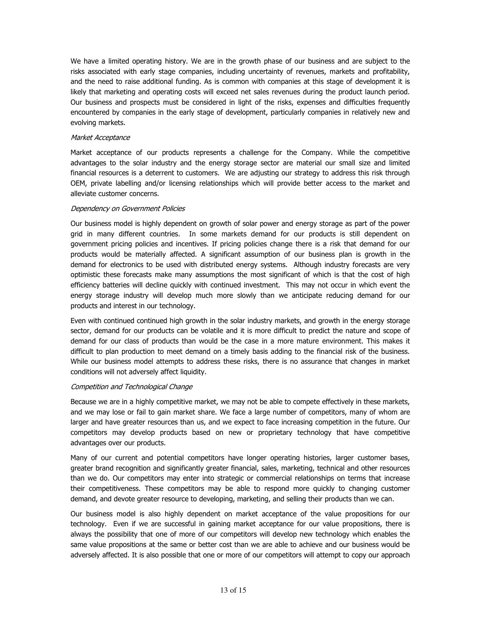We have a limited operating history. We are in the growth phase of our business and are subject to the risks associated with early stage companies, including uncertainty of revenues, markets and profitability, and the need to raise additional funding. As is common with companies at this stage of development it is likely that marketing and operating costs will exceed net sales revenues during the product launch period. Our business and prospects must be considered in light of the risks, expenses and difficulties frequently encountered by companies in the early stage of development, particularly companies in relatively new and evolving markets.

### Market Acceptance

Market acceptance of our products represents a challenge for the Company. While the competitive advantages to the solar industry and the energy storage sector are material our small size and limited financial resources is a deterrent to customers. We are adjusting our strategy to address this risk through OEM, private labelling and/or licensing relationships which will provide better access to the market and alleviate customer concerns.

#### Dependency on Government Policies

Our business model is highly dependent on growth of solar power and energy storage as part of the power grid in many different countries. In some markets demand for our products is still dependent on government pricing policies and incentives. If pricing policies change there is a risk that demand for our products would be materially affected. A significant assumption of our business plan is growth in the demand for electronics to be used with distributed energy systems. Although industry forecasts are very optimistic these forecasts make many assumptions the most significant of which is that the cost of high efficiency batteries will decline quickly with continued investment. This may not occur in which event the energy storage industry will develop much more slowly than we anticipate reducing demand for our products and interest in our technology.

Even with continued continued high growth in the solar industry markets, and growth in the energy storage sector, demand for our products can be volatile and it is more difficult to predict the nature and scope of demand for our class of products than would be the case in a more mature environment. This makes it difficult to plan production to meet demand on a timely basis adding to the financial risk of the business. While our business model attempts to address these risks, there is no assurance that changes in market conditions will not adversely affect liquidity.

#### Competition and Technological Change

Because we are in a highly competitive market, we may not be able to compete effectively in these markets, and we may lose or fail to gain market share. We face a large number of competitors, many of whom are larger and have greater resources than us, and we expect to face increasing competition in the future. Our competitors may develop products based on new or proprietary technology that have competitive advantages over our products.

Many of our current and potential competitors have longer operating histories, larger customer bases, greater brand recognition and significantly greater financial, sales, marketing, technical and other resources than we do. Our competitors may enter into strategic or commercial relationships on terms that increase their competitiveness. These competitors may be able to respond more quickly to changing customer demand, and devote greater resource to developing, marketing, and selling their products than we can.

Our business model is also highly dependent on market acceptance of the value propositions for our technology. Even if we are successful in gaining market acceptance for our value propositions, there is always the possibility that one of more of our competitors will develop new technology which enables the same value propositions at the same or better cost than we are able to achieve and our business would be adversely affected. It is also possible that one or more of our competitors will attempt to copy our approach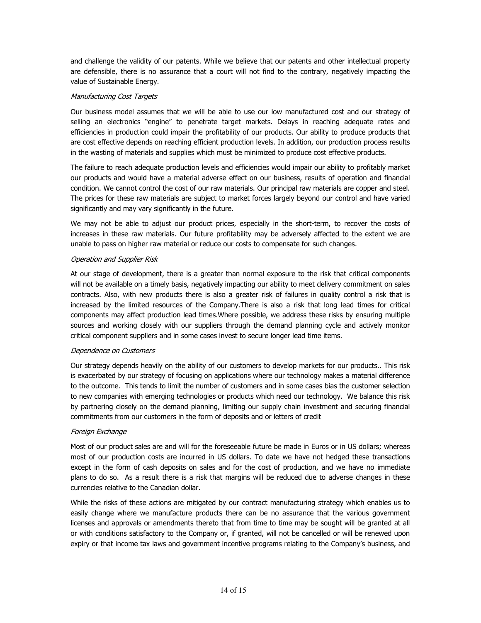and challenge the validity of our patents. While we believe that our patents and other intellectual property are defensible, there is no assurance that a court will not find to the contrary, negatively impacting the value of Sustainable Energy.

# Manufacturing Cost Targets

Our business model assumes that we will be able to use our low manufactured cost and our strategy of selling an electronics "engine" to penetrate target markets. Delays in reaching adequate rates and efficiencies in production could impair the profitability of our products. Our ability to produce products that are cost effective depends on reaching efficient production levels. In addition, our production process results in the wasting of materials and supplies which must be minimized to produce cost effective products.

The failure to reach adequate production levels and efficiencies would impair our ability to profitably market our products and would have a material adverse effect on our business, results of operation and financial condition. We cannot control the cost of our raw materials. Our principal raw materials are copper and steel. The prices for these raw materials are subject to market forces largely beyond our control and have varied significantly and may vary significantly in the future.

We may not be able to adjust our product prices, especially in the short-term, to recover the costs of increases in these raw materials. Our future profitability may be adversely affected to the extent we are unable to pass on higher raw material or reduce our costs to compensate for such changes.

#### Operation and Supplier Risk

At our stage of development, there is a greater than normal exposure to the risk that critical components will not be available on a timely basis, negatively impacting our ability to meet delivery commitment on sales contracts. Also, with new products there is also a greater risk of failures in quality control a risk that is increased by the limited resources of the Company.There is also a risk that long lead times for critical components may affect production lead times.Where possible, we address these risks by ensuring multiple sources and working closely with our suppliers through the demand planning cycle and actively monitor critical component suppliers and in some cases invest to secure longer lead time items.

# Dependence on Customers

Our strategy depends heavily on the ability of our customers to develop markets for our products.. This risk is exacerbated by our strategy of focusing on applications where our technology makes a material difference to the outcome. This tends to limit the number of customers and in some cases bias the customer selection to new companies with emerging technologies or products which need our technology. We balance this risk by partnering closely on the demand planning, limiting our supply chain investment and securing financial commitments from our customers in the form of deposits and or letters of credit

# Foreign Exchange

Most of our product sales are and will for the foreseeable future be made in Euros or in US dollars; whereas most of our production costs are incurred in US dollars. To date we have not hedged these transactions except in the form of cash deposits on sales and for the cost of production, and we have no immediate plans to do so. As a result there is a risk that margins will be reduced due to adverse changes in these currencies relative to the Canadian dollar.

While the risks of these actions are mitigated by our contract manufacturing strategy which enables us to easily change where we manufacture products there can be no assurance that the various government licenses and approvals or amendments thereto that from time to time may be sought will be granted at all or with conditions satisfactory to the Company or, if granted, will not be cancelled or will be renewed upon expiry or that income tax laws and government incentive programs relating to the Company's business, and